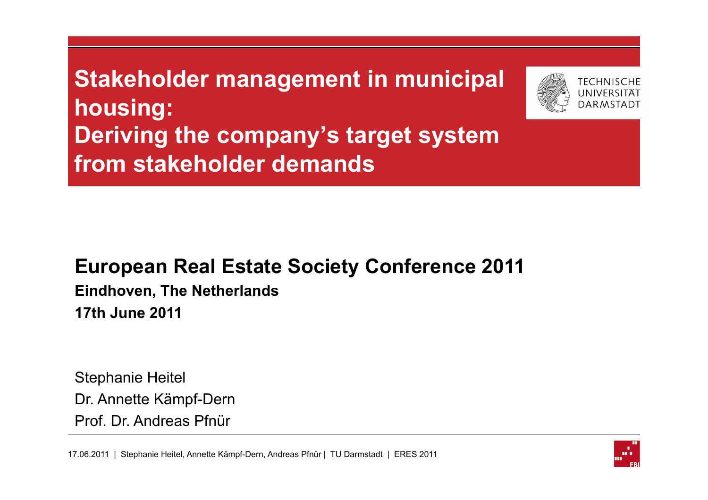**Stakeholder management in municipal housing: Deriving the company's target system from stakeholder demands** 



#### **European Real Estate Society Conference 2011**

**Eindhoven, The Netherlands 17th June 2011** 

Stephanie Heitel Dr. Annette Kämpf-Dern Prof. Dr. Andreas Pfnür

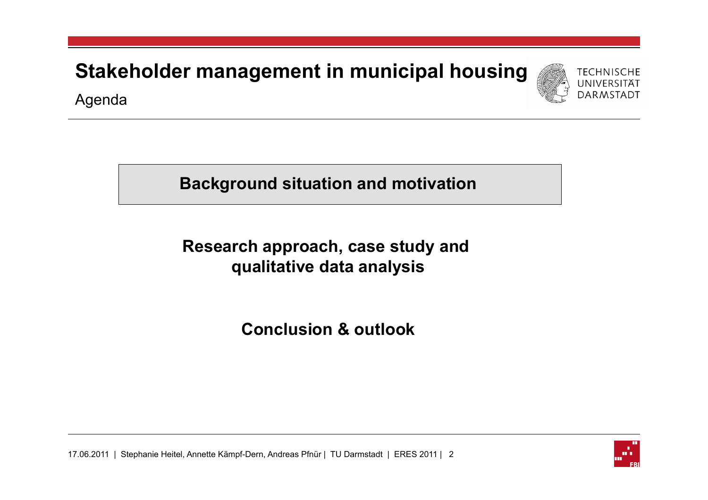**Stakeholder management in municipal housing**



Agenda

**Background situation and motivation** 

**Research approach, case study and qualitative data analysis** 

**Conclusion & outlook** 



17.06.2011 | Stephanie Heitel, Annette Kämpf-Dern, Andreas Pfnür | TU Darmstadt | ERES 2011 | 2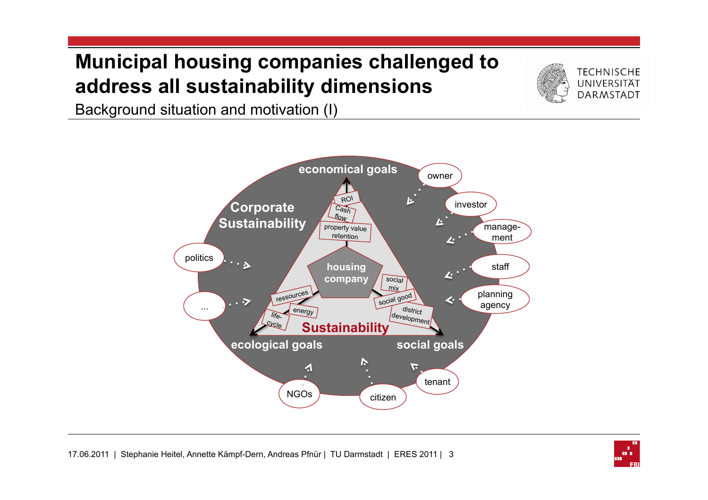#### **Municipal housing companies challenged to address all sustainability dimensions**



Background situation and motivation (I)



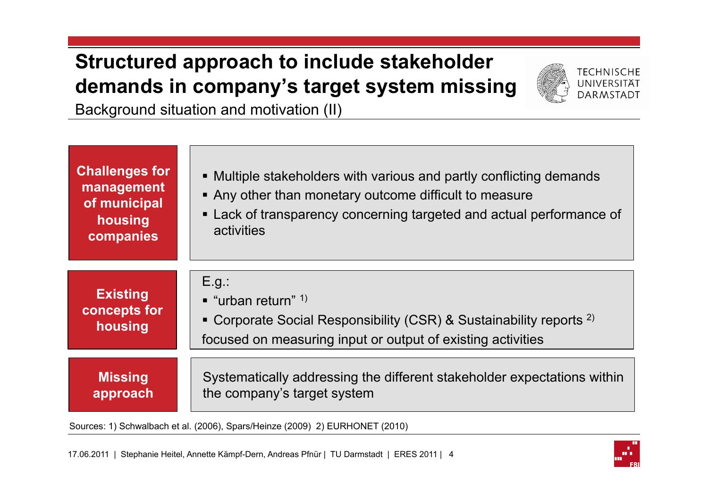## **Structured approach to include stakeholder demands in company's target system missing**



Background situation and motivation (II)

| <b>Challenges for</b><br>management<br>of municipal<br>housing<br>companies | • Multiple stakeholders with various and partly conflicting demands<br>• Any other than monetary outcome difficult to measure<br>• Lack of transparency concerning targeted and actual performance of<br>activities |
|-----------------------------------------------------------------------------|---------------------------------------------------------------------------------------------------------------------------------------------------------------------------------------------------------------------|
| <b>Existing</b><br>concepts for<br>housing                                  | $E.g.$ :<br>$\blacksquare$ "urban return" <sup>1)</sup><br>• Corporate Social Responsibility (CSR) & Sustainability reports $^{2)}$<br>focused on measuring input or output of existing activities                  |
| <b>Missing</b><br>approach                                                  | Systematically addressing the different stakeholder expectations within<br>the company's target system                                                                                                              |
|                                                                             | Sources: 1) Schwalbach et al. (2006), Spars/Heinze (2009) 2) EURHONET (2010)                                                                                                                                        |

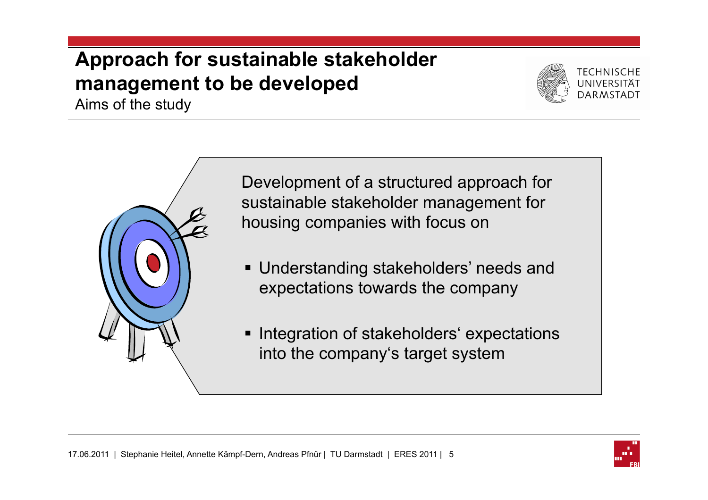## **Approach for sustainable stakeholder management to be developed**

Aims of the study





Development of a structured approach for sustainable stakeholder management for housing companies with focus on

- **Understanding stakeholders' needs and** expectations towards the company
- **Integration of stakeholders' expectations** into the company's target system

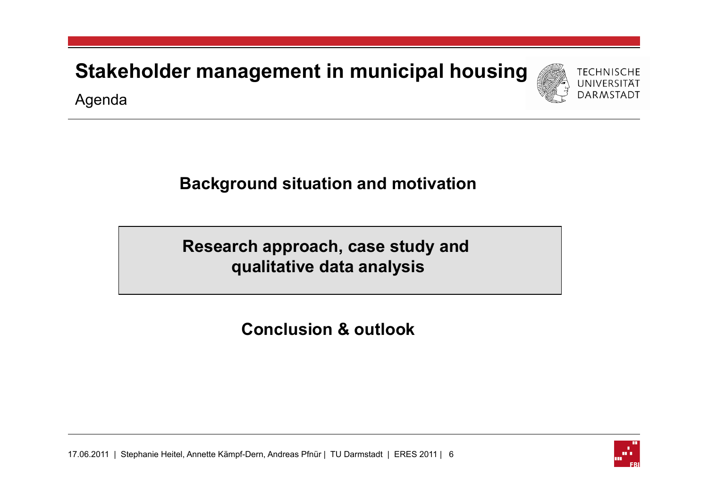**Stakeholder management in municipal housing**



Agenda

#### **Background situation and motivation**

**Research approach, case study and qualitative data analysis** 

**Conclusion & outlook** 



17.06.2011 | Stephanie Heitel, Annette Kämpf-Dern, Andreas Pfnür | TU Darmstadt | ERES 2011 | 6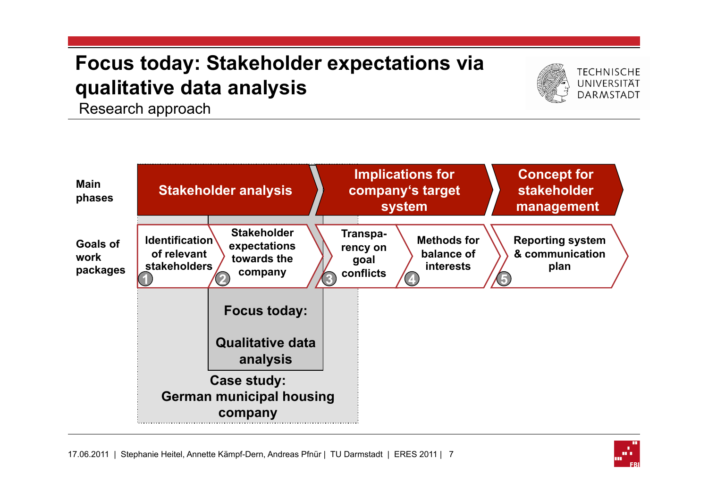# **Focus today: Stakeholder expectations via qualitative data analysis** Research approach





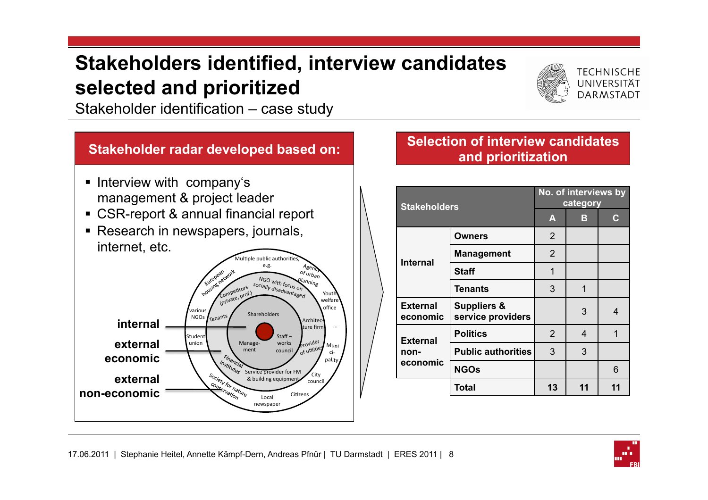#### **Stakeholders identified, interview candidates selected and prioritized**



**TECHNISCHE** UNIVERSITÄT **DARMSTADT** 

Stakeholder identification – case study

#### **Stakeholder radar developed based on:**

- **.** Interview with company's management & project leader
- ! CSR-report & annual financial report
- **EXEC** Research in newspapers, journals, internet, etc.



#### **Selection of interview candidates and prioritization**

| <b>Stakeholders</b>         |                                             | No. of interviews by<br>category |    |                |
|-----------------------------|---------------------------------------------|----------------------------------|----|----------------|
|                             |                                             | $\blacktriangle$                 | в  | $\mathbf C$    |
|                             | <b>Owners</b>                               | 2                                |    |                |
| <b>Internal</b>             | <b>Management</b>                           | 2                                |    |                |
|                             | <b>Staff</b>                                | 1                                |    |                |
|                             | <b>Tenants</b>                              | 3                                | 1  |                |
| <b>External</b><br>economic | <b>Suppliers &amp;</b><br>service providers |                                  | 3  | $\overline{4}$ |
| <b>External</b>             | <b>Politics</b>                             | 2                                | 4  | 1              |
| non-<br>economic            | <b>Public authorities</b>                   | 3                                | 3  |                |
|                             | <b>NGOs</b>                                 |                                  |    | 6              |
|                             | Total                                       | 13                               | 11 | 11             |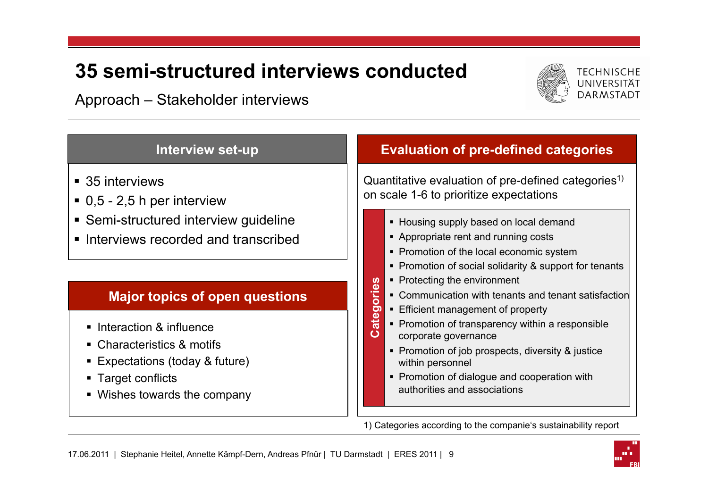#### **35 semi-structured interviews conducted**

Approach – Stakeholder interviews



| <b>Interview set-up</b>                                                                                                                                                                   | <b>Evaluation of pre-defined categories</b>                                                                                                                                                                                                                                                                                                                                                    |
|-------------------------------------------------------------------------------------------------------------------------------------------------------------------------------------------|------------------------------------------------------------------------------------------------------------------------------------------------------------------------------------------------------------------------------------------------------------------------------------------------------------------------------------------------------------------------------------------------|
| ■ 35 interviews<br>$\bullet$ 0,5 - 2,5 h per interview<br>• Semi-structured interview guideline<br>lnterviews recorded and transcribed                                                    | Quantitative evaluation of pre-defined categories <sup>1)</sup><br>on scale 1-6 to prioritize expectations<br>• Housing supply based on local demand<br>• Appropriate rent and running costs<br>• Promotion of the local economic system<br>• Promotion of social solidarity & support for tenants                                                                                             |
| <b>Major topics of open questions</b><br>• Interaction & influence<br>• Characteristics & motifs<br>■ Expectations (today & future)<br>■ Target conflicts<br>• Wishes towards the company | • Protecting the environment<br>ries<br>• Communication with tenants and tenant satisfaction<br>$\circ$<br>■ Efficient management of property<br>þ<br>ate<br>• Promotion of transparency within a responsible<br>corporate governance<br>• Promotion of job prospects, diversity & justice<br>within personnel<br>• Promotion of dialogue and cooperation with<br>authorities and associations |

1) Categories according to the companie's sustainability report

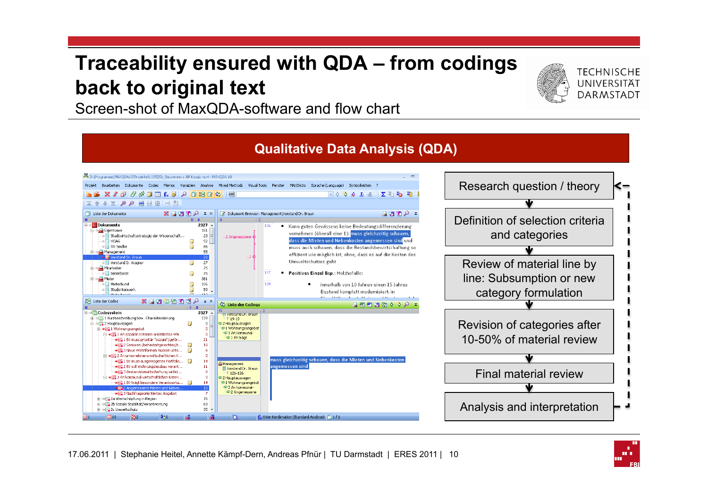#### **Traceability ensured with QDA – from codings back to original text**



Screen-shot of MaxQDA-software and flow chart



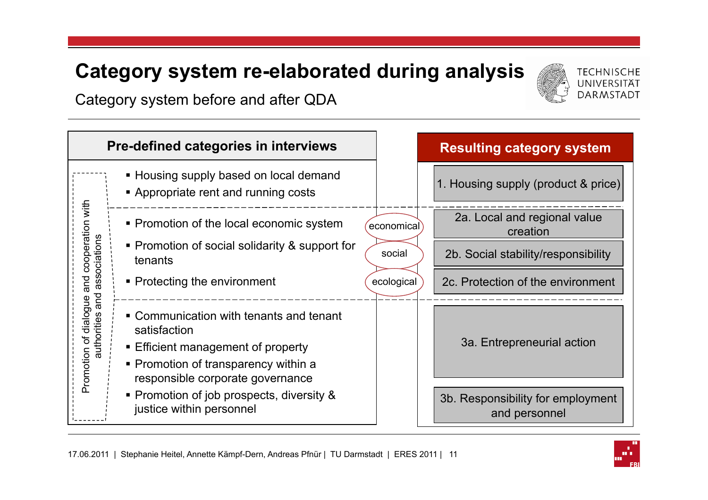#### **Category system re-elaborated during analysis**



**TECHNISCHE** 

Category system before and after QDA



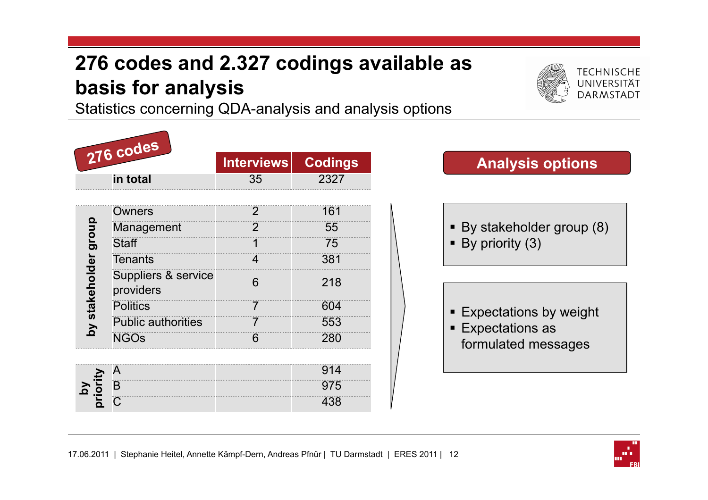## **276 codes and 2.327 codings available as basis for analysis**



Statistics concerning QDA-analysis and analysis options

|                      | 276 codes                        | <b>Interviews</b> | <b>Codings</b> |
|----------------------|----------------------------------|-------------------|----------------|
|                      | in total                         | 35                | 2327           |
|                      |                                  | 2                 | 161            |
|                      | Owners<br>Management             | $\overline{2}$    | 55             |
|                      | <b>Staff</b>                     | 1                 | 75             |
|                      | <b>Tenants</b>                   | 4                 | 381            |
| by stakeholder group | Suppliers & service<br>providers | 6                 | 218            |
|                      | <b>Politics</b>                  | 7                 | 604            |
|                      | <b>Public authorities</b>        | 7                 | 553            |
|                      | <b>NGOs</b>                      | 6                 | 280            |
|                      |                                  |                   |                |
|                      | A                                |                   | 914            |
| by<br>priority       | B                                |                   | 975            |
|                      | C                                |                   | 438            |

#### **Analysis options**

- ! By stakeholder group (8)
- $\blacksquare$  By priority (3)

- **Expectations by weight**
- **Expectations as** formulated messages

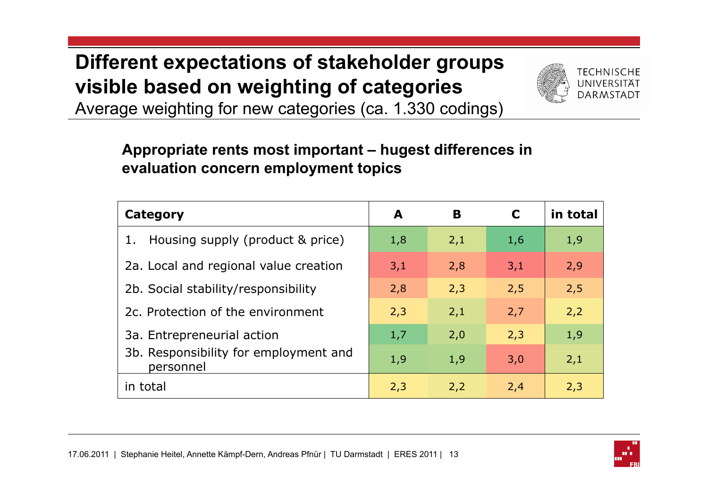## **Different expectations of stakeholder groups visible based on weighting of categories**



Average weighting for new categories (ca. 1.330 codings)

#### **Appropriate rents most important – hugest differences in evaluation concern employment topics**

| Category                                           | A   | B   | C   | in total |
|----------------------------------------------------|-----|-----|-----|----------|
| Housing supply (product & price)                   | 1,8 | 2,1 | 1,6 | 1,9      |
| 2a. Local and regional value creation              | 3,1 | 2,8 | 3,1 | 2,9      |
| 2b. Social stability/responsibility                | 2,8 | 2,3 | 2,5 | 2,5      |
| 2c. Protection of the environment                  | 2,3 | 2,1 | 2,7 | 2,2      |
| 3a. Entrepreneurial action                         | 1,7 | 2,0 | 2,3 | 1,9      |
| 3b. Responsibility for employment and<br>personnel | 1,9 | 1,9 | 3,0 | 2,1      |
| in total                                           | 2,3 | 2,2 | 2,4 | 2,3      |

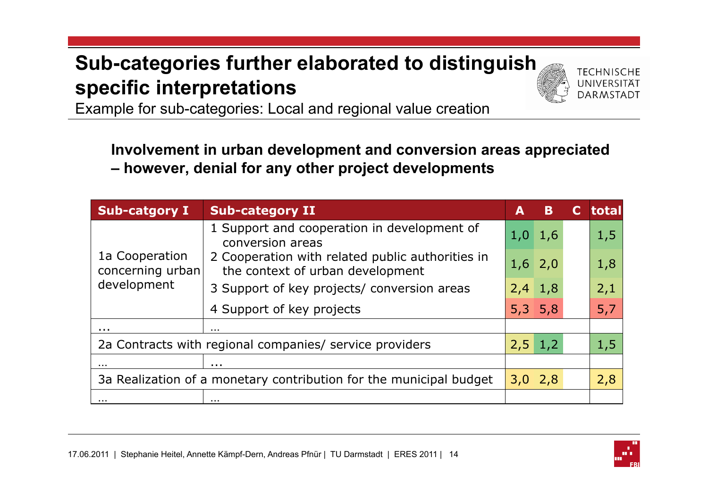## **Sub-categories further elaborated to distinguish specific interpretations**



Example for sub-categories: Local and regional value creation

**Involvement in urban development and conversion areas appreciated – however, denial for any other project developments** 

| <b>Sub-catgory I</b>                                               | <b>Sub-category II</b>                                                               | A   | B                   | total |
|--------------------------------------------------------------------|--------------------------------------------------------------------------------------|-----|---------------------|-------|
| 1a Cooperation<br>concerning urban<br>development                  | 1 Support and cooperation in development of<br>conversion areas                      | 1,0 | 1,6                 | 1,5   |
|                                                                    | 2 Cooperation with related public authorities in<br>the context of urban development |     | $1,6$ 2,0           | 1,8   |
|                                                                    | 3 Support of key projects/ conversion areas                                          |     | $2,4$ 1,8           | 2,1   |
|                                                                    | 4 Support of key projects                                                            |     | $5,3$ 5,8           | 5,7   |
| .                                                                  | $\cdots$                                                                             |     |                     |       |
| 2a Contracts with regional companies/ service providers            |                                                                                      |     | $2,5 \mid 1,2 \mid$ | 1,5   |
| .                                                                  | .                                                                                    |     |                     |       |
| 3a Realization of a monetary contribution for the municipal budget |                                                                                      |     | 3,0,2,8             | 2,8   |
| .                                                                  | .                                                                                    |     |                     |       |



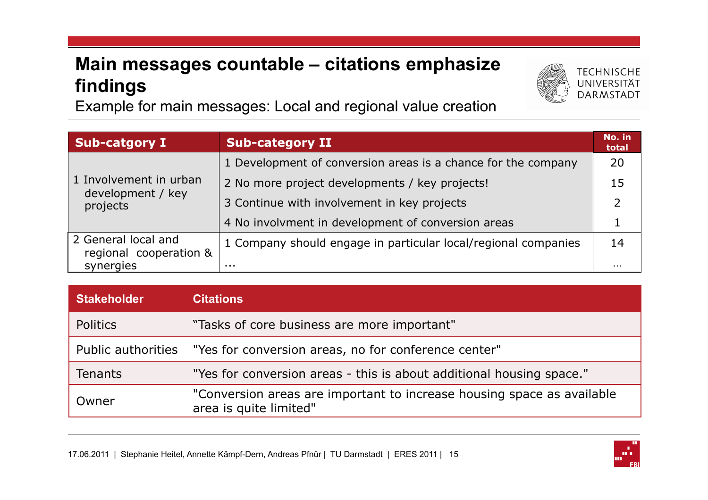#### **Main messages countable – citations emphasize findings**

Example for main messages: Local and regional value creation

| <b>Sub-catgory I</b>                          | <b>Sub-category II</b>                                         | No. in<br>total |
|-----------------------------------------------|----------------------------------------------------------------|-----------------|
|                                               | 1 Development of conversion areas is a chance for the company  | 20              |
| 1 Involvement in urban                        | 2 No more project developments / key projects!                 | 15              |
| development / key<br>projects                 | 3 Continue with involvement in key projects                    | $\mathcal{P}$   |
|                                               | 4 No involvment in development of conversion areas             |                 |
| 2 General local and<br>regional cooperation & | 1 Company should engage in particular local/regional companies | 14              |
| synergies                                     | .                                                              | $\cdots$        |

| <b>Stakeholder</b> | <b>Citations</b>                                                                                 |
|--------------------|--------------------------------------------------------------------------------------------------|
| Politics           | "Tasks of core business are more important"                                                      |
| Public authorities | "Yes for conversion areas, no for conference center"                                             |
| <b>Tenants</b>     | "Yes for conversion areas - this is about additional housing space."                             |
| Owner              | "Conversion areas are important to increase housing space as available<br>area is quite limited" |



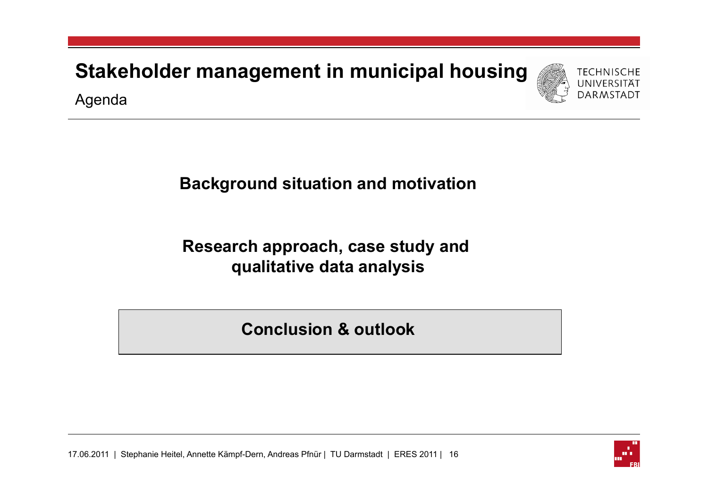**Stakeholder management in municipal housing**





#### **Background situation and motivation**

#### **Research approach, case study and qualitative data analysis**

**Conclusion & outlook** 

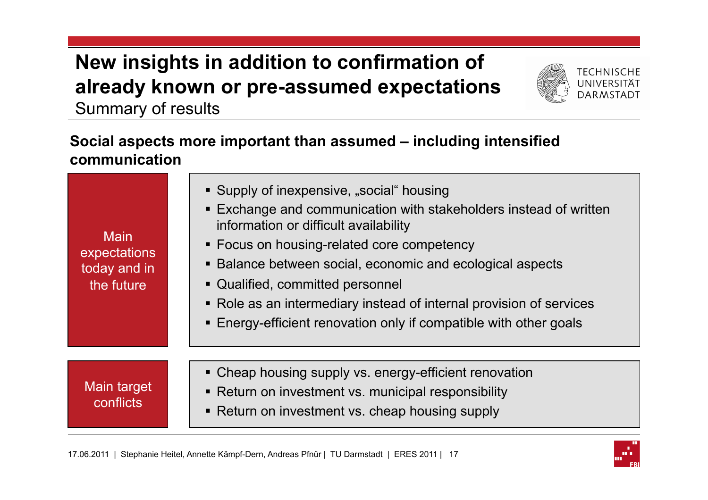## **New insights in addition to confirmation of already known or pre-assumed expectations**



Summary of results

#### **Social aspects more important than assumed – including intensified communication**

| <b>Main</b><br>expectations<br>today and in<br>the future | • Supply of inexpensive, "social" housing<br><b>Exchange and communication with stakeholders instead of written</b><br>information or difficult availability<br>• Focus on housing-related core competency<br>• Balance between social, economic and ecological aspects<br>• Qualified, committed personnel<br>• Role as an intermediary instead of internal provision of services<br>• Energy-efficient renovation only if compatible with other goals |
|-----------------------------------------------------------|---------------------------------------------------------------------------------------------------------------------------------------------------------------------------------------------------------------------------------------------------------------------------------------------------------------------------------------------------------------------------------------------------------------------------------------------------------|
| Main target<br>conflicts                                  | • Cheap housing supply vs. energy-efficient renovation<br>• Return on investment vs. municipal responsibility<br>• Return on investment vs. cheap housing supply                                                                                                                                                                                                                                                                                        |

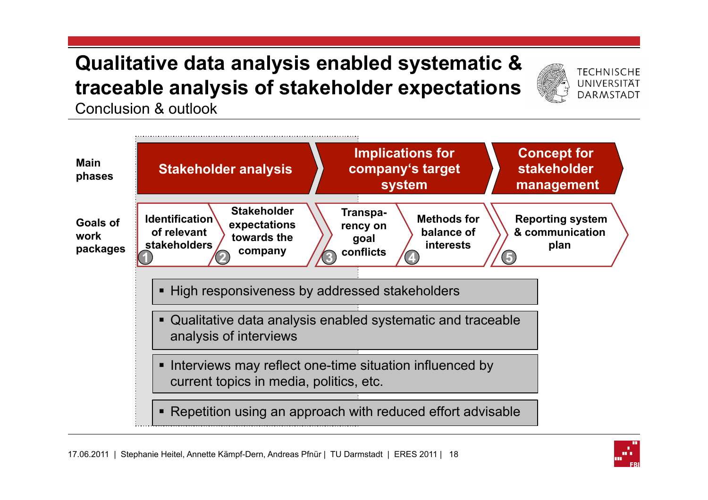## **Qualitative data analysis enabled systematic & traceable analysis of stakeholder expectations**



Conclusion & outlook



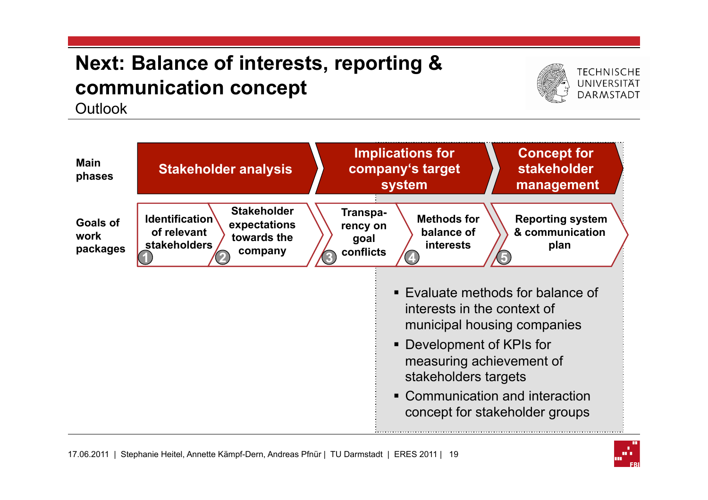## **Next: Balance of interests, reporting & communication concept**



**TECHNISCHE UNIVERSITÄT DARMSTADT** 

Outlook